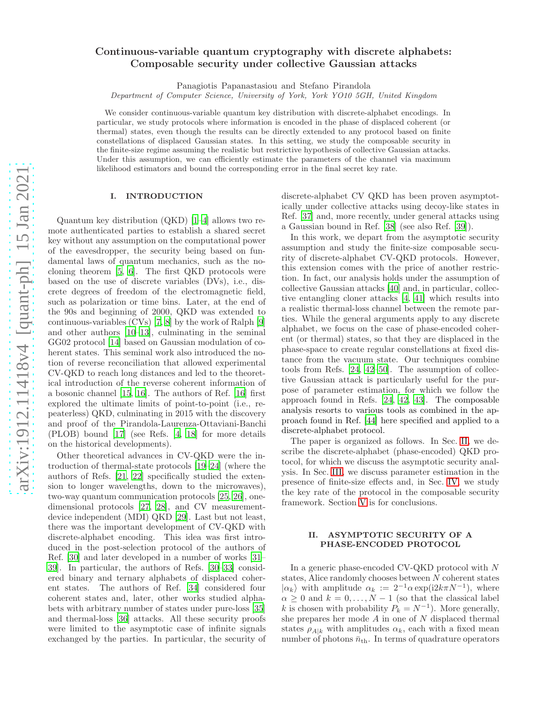# Continuous-variable quantum cryptography with discrete alphabets: Composable security under collective Gaussian attacks

Panagiotis Papanastasiou and Stefano Pirandola

Department of Computer Science, University of York, York YO10 5GH, United Kingdom

We consider continuous-variable quantum key distribution with discrete-alphabet encodings. In particular, we study protocols where information is encoded in the phase of displaced coherent (or thermal) states, even though the results can be directly extended to any protocol based on finite constellations of displaced Gaussian states. In this setting, we study the composable security in the finite-size regime assuming the realistic but restrictive hypothesis of collective Gaussian attacks. Under this assumption, we can efficiently estimate the parameters of the channel via maximum likelihood estimators and bound the corresponding error in the final secret key rate.

#### I. INTRODUCTION

Quantum key distribution (QKD) [\[1](#page-8-0)[–4\]](#page-8-1) allows two remote authenticated parties to establish a shared secret key without any assumption on the computational power of the eavesdropper, the security being based on fundamental laws of quantum mechanics, such as the nocloning theorem [\[5,](#page-8-2) [6\]](#page-8-3). The first QKD protocols were based on the use of discrete variables (DVs), i.e., discrete degrees of freedom of the electromagnetic field, such as polarization or time bins. Later, at the end of the 90s and beginning of 2000, QKD was extended to continuous-variables (CVs) [\[7,](#page-8-4) [8](#page-8-5)] by the work of Ralph [\[9](#page-8-6)] and other authors [\[10](#page-8-7)[–13\]](#page-8-8), culminating in the seminal GG02 protocol [\[14\]](#page-8-9) based on Gaussian modulation of coherent states. This seminal work also introduced the notion of reverse reconciliation that allowed experimental CV-QKD to reach long distances and led to the theoretical introduction of the reverse coherent information of a bosonic channel [\[15](#page-8-10), [16\]](#page-8-11). The authors of Ref. [\[16\]](#page-8-11) first explored the ultimate limits of point-to-point (i.e., repeaterless) QKD, culminating in 2015 with the discovery and proof of the Pirandola-Laurenza-Ottaviani-Banchi (PLOB) bound [\[17](#page-8-12)] (see Refs. [\[4,](#page-8-1) [18](#page-8-13)] for more details on the historical developments).

Other theoretical advances in CV-QKD were the introduction of thermal-state protocols [\[19](#page-8-14)[–24\]](#page-8-15) (where the authors of Refs. [\[21](#page-8-16), [22](#page-8-17)] specifically studied the extension to longer wavelengths, down to the microwaves), two-way quantum communication protocols [\[25](#page-8-18), [26\]](#page-8-19), onedimensional protocols [\[27](#page-8-20), [28](#page-8-21)], and CV measurementdevice independent (MDI) QKD [\[29\]](#page-8-22). Last but not least, there was the important development of CV-QKD with discrete-alphabet encoding. This idea was first introduced in the post-selection protocol of the authors of Ref. [\[30\]](#page-8-23) and later developed in a number of works [\[31](#page-8-24)– [39\]](#page-8-25). In particular, the authors of Refs. [\[30](#page-8-23)[–33\]](#page-8-26) considered binary and ternary alphabets of displaced coherent states. The authors of Ref. [\[34](#page-8-27)] considered four coherent states and, later, other works studied alphabets with arbitrary number of states under pure-loss [\[35](#page-8-28)] and thermal-loss [\[36\]](#page-8-29) attacks. All these security proofs were limited to the asymptotic case of infinite signals exchanged by the parties. In particular, the security of

discrete-alphabet CV QKD has been proven asymptotically under collective attacks using decoy-like states in Ref. [\[37\]](#page-8-30) and, more recently, under general attacks using a Gaussian bound in Ref. [\[38](#page-8-31)] (see also Ref. [\[39\]](#page-8-25)).

In this work, we depart from the asymptotic security assumption and study the finite-size composable security of discrete-alphabet CV-QKD protocols. However, this extension comes with the price of another restriction. In fact, our analysis holds under the assumption of collective Gaussian attacks [\[40\]](#page-8-32) and, in particular, collective entangling cloner attacks [\[4,](#page-8-1) [41\]](#page-8-33) which results into a realistic thermal-loss channel between the remote parties. While the general arguments apply to any discrete alphabet, we focus on the case of phase-encoded coherent (or thermal) states, so that they are displaced in the phase-space to create regular constellations at fixed distance from the vacuum state. Our techniques combine tools from Refs. [\[24,](#page-8-15) [42](#page-8-34)[–50](#page-8-35)]. The assumption of collective Gaussian attack is particularly useful for the purpose of parameter estimation, for which we follow the approach found in Refs. [\[24,](#page-8-15) [42](#page-8-34), [43\]](#page-8-36). The composable analysis resorts to various tools as combined in the approach found in Ref. [\[44\]](#page-8-37) here specified and applied to a discrete-alphabet protocol.

The paper is organized as follows. In Sec. [II,](#page-0-0) we describe the discrete-alphabet (phase-encoded) QKD protocol, for which we discuss the asymptotic security analysis. In Sec. [III,](#page-2-0) we discuss parameter estimation in the presence of finite-size effects and, in Sec. [IV,](#page-4-0) we study the key rate of the protocol in the composable security framework. Section [V](#page-5-0) is for conclusions.

#### <span id="page-0-0"></span>II. ASYMPTOTIC SECURITY OF A PHASE-ENCODED PROTOCOL

In a generic phase-encoded CV-QKD protocol with N states, Alice randomly chooses between N coherent states  $|\alpha_k\rangle$  with amplitude  $\alpha_k := 2^{-1} \alpha \exp(i2k\pi N^{-1}),$  where  $\alpha \geq 0$  and  $k = 0, \ldots, N - 1$  (so that the classical label k is chosen with probability  $P_k = N^{-1}$ ). More generally, she prepares her mode  $A$  in one of  $N$  displaced thermal states  $\rho_{A|k}$  with amplitudes  $\alpha_k$ , each with a fixed mean number of photons  $\bar{n}_{\text{th}}$ . In terms of quadrature operators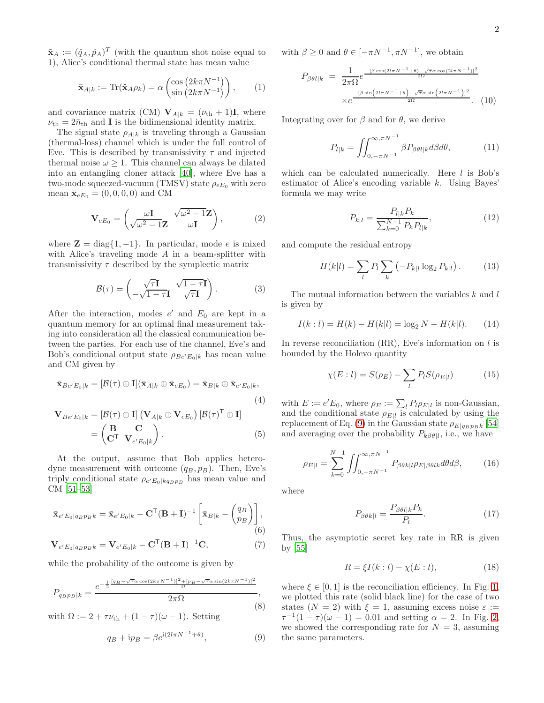$\mathbf{\hat{x}}_A := (\hat{q}_A, \hat{p}_A)^T$  (with the quantum shot noise equal to 1), Alice's conditional thermal state has mean value

$$
\bar{\mathbf{x}}_{A|k} := \text{Tr}(\hat{\mathbf{x}}_{A}\rho_k) = \alpha \begin{pmatrix} \cos\left(2k\pi N^{-1}\right) \\ \sin\left(2k\pi N^{-1}\right) \end{pmatrix},\qquad(1)
$$

and covariance matrix (CM)  $\mathbf{V}_{A|k} = (\nu_{th} + 1)\mathbf{I}$ , where  $\nu_{\rm th}=2\bar{n}_{\rm th}$  and  ${\bf I}$  is the bidimensional identity matrix.

The signal state  $\rho_{A|k}$  is traveling through a Gaussian (thermal-loss) channel which is under the full control of Eve. This is described by transmissivity  $\tau$  and injected thermal noise  $\omega > 1$ . This channel can always be dilated into an entangling cloner attack [\[40\]](#page-8-32), where Eve has a two-mode squeezed-vacuum (TMSV) state  $\rho_{eE_0}$  with zero mean  $\bar{\mathbf{x}}_{eE_0} = (0, 0, 0, 0)$  and CM

$$
\mathbf{V}_{eE_0} = \begin{pmatrix} \omega \mathbf{I} & \sqrt{\omega^2 - 1} \mathbf{Z} \\ \sqrt{\omega^2 - 1} \mathbf{Z} & \omega \mathbf{I} \end{pmatrix}, \quad (2)
$$

where  $\mathbf{Z} = \text{diag}\{1, -1\}$ . In particular, mode e is mixed with Alice's traveling mode  $A$  in a beam-splitter with transmissivity  $\tau$  described by the symplectic matrix

$$
\mathcal{B}(\tau) = \begin{pmatrix} \sqrt{\tau} \mathbf{I} & \sqrt{1 - \tau} \mathbf{I} \\ -\sqrt{1 - \tau} \mathbf{I} & \sqrt{\tau} \mathbf{I} \end{pmatrix} . \tag{3}
$$

After the interaction, modes  $e'$  and  $E_0$  are kept in a quantum memory for an optimal final measurement taking into consideration all the classical communication between the parties. For each use of the channel, Eve's and Bob's conditional output state  $\rho_{Be'E_0|k}$  has mean value and CM given by

$$
\bar{\mathbf{x}}_{Be'E_0|k} = [\mathcal{B}(\tau) \oplus \mathbf{I}] (\bar{\mathbf{x}}_{A|k} \oplus \bar{\mathbf{x}}_{eE_0}) = \bar{\mathbf{x}}_{B|k} \oplus \bar{\mathbf{x}}_{e'E_0|k},
$$
\n
$$
\mathbf{V}_{Be'E_0|k} = [\mathcal{B}(\tau) \oplus \mathbf{I}] (\mathbf{V}_{A|k} \oplus \mathbf{V}_{eE_0}) [\mathcal{B}(\tau)^{\mathsf{T}} \oplus \mathbf{I}]
$$
\n
$$
= \begin{pmatrix} \mathbf{B} & \mathbf{C} \\ \mathbf{C}^{\mathsf{T}} & \mathbf{V}_{e'E_0|k} \end{pmatrix} .
$$
\n
$$
(5)
$$

At the output, assume that Bob applies heterodyne measurement with outcome  $(q_B, p_B)$ . Then, Eve's triply conditional state  $\rho_{e'E_0|kq_{B}p_{B}}$  has mean value and CM [\[51](#page-8-38)[–53\]](#page-8-39)

$$
\bar{\mathbf{x}}_{e'E_0|q_Bp_Bk} = \bar{\mathbf{x}}_{e'E_0|k} - \mathbf{C}^{\mathsf{T}}(\mathbf{B} + \mathbf{I})^{-1} \left[ \bar{\mathbf{x}}_{B|k} - {q_B \choose p_B} \right],\tag{6}
$$

$$
\mathbf{V}_{e'E_0|q_{BPB}k} = \mathbf{V}_{e'E_0|k} - \mathbf{C}^{\mathsf{T}}(\mathbf{B}+\mathbf{I})^{-1}\mathbf{C},\tag{7}
$$

while the probability of the outcome is given by

$$
P_{q_{B}p_{B}|k} = \frac{e^{-\frac{1}{2}\frac{[q_{B} - \sqrt{\tau}\alpha\cos(2k\pi N^{-1})]^{2} + [p_{B} - \sqrt{\tau}\alpha\sin(2k\pi N^{-1})]^{2}}{\Omega}}}{2\pi\Omega},
$$
\n(8)

with  $\Omega := 2 + \tau \nu_{\text{th}} + (1 - \tau)(\omega - 1)$ . Setting

<span id="page-1-0"></span>
$$
q_B + \mathrm{i}p_B = \beta e^{\mathrm{i}(2l\pi N^{-1} + \theta)},\tag{9}
$$

with  $\beta \geq 0$  and  $\theta \in [-\pi N^{-1}, \pi N^{-1}]$ , we obtain

$$
P_{\beta\theta l|k} = \frac{1}{2\pi\Omega} e^{\frac{-[\beta\cos(2l\pi N^{-1}+\theta)-\sqrt{\tau}\alpha\cos(2l\pi N^{-1})]^2}{2\Omega}}
$$

$$
\times e^{\frac{-[\beta\sin(2l\pi N^{-1}+\theta)-\sqrt{\tau}\alpha\sin(2l\pi N^{-1})]^2}{2\Omega}}.
$$
(10)

Integrating over for  $\beta$  and for  $\theta$ , we derive

$$
P_{l|k} = \iint_{0, -\pi N^{-1}}^{\infty, \pi N^{-1}} \beta P_{\beta\theta l|k} d\beta d\theta, \tag{11}
$$

which can be calculated numerically. Here  $l$  is Bob's estimator of Alice's encoding variable k. Using Bayes' formula we may write

$$
P_{k|l} = \frac{P_{l|k} P_k}{\sum_{k=0}^{N-1} P_k P_{l|k}},\tag{12}
$$

and compute the residual entropy

$$
H(k|l) = \sum_{l} P_l \sum_{k} \left( -P_{k|l} \log_2 P_{k|l} \right). \tag{13}
$$

The mutual information between the variables  $k$  and  $l$ is given by

$$
I(k: l) = H(k) - H(k|l) = \log_2 N - H(k|l). \tag{14}
$$

In reverse reconciliation  $(RR)$ , Eve's information on l is bounded by the Holevo quantity

$$
\chi(E:l) = S(\rho_E) - \sum_l P_l S(\rho_{E|l}) \tag{15}
$$

with  $E := e'E_0$ , where  $\rho_E := \sum_l P_l \rho_{E|l}$  is non-Gaussian, and the conditional state  $\rho_{E|l}$  is calculated by using the replacement of Eq. [\(9\)](#page-1-0) in the Gaussian state  $\rho_{E|q_{B}p_{B}k}$  [\[54](#page-8-40)] and averaging over the probability  $P_{k\beta\theta|l}$ , i.e., we have

$$
\rho_{E|l} = \sum_{k=0}^{N-1} \iint_{0, -\pi N^{-1}}^{\infty, \pi N^{-1}} P_{\beta\theta k|l} \rho_{E|\beta\theta l k} d\theta d\beta, \qquad (16)
$$

where

$$
P_{\beta\theta k|l} = \frac{P_{\beta\theta l|k} P_k}{P_l}.
$$
\n(17)

<span id="page-1-3"></span><span id="page-1-2"></span>Thus, the asymptotic secret key rate in RR is given by [\[55\]](#page-8-41)

<span id="page-1-1"></span>
$$
R = \xi I(k:l) - \chi(E:l),\tag{18}
$$

where  $\xi \in [0, 1]$  is the reconciliation efficiency. In Fig. [1,](#page-2-1) we plotted this rate (solid black line) for the case of two states  $(N = 2)$  with  $\xi = 1$ , assuming excess noise  $\varepsilon :=$  $\tau^{-1}(1-\tau)(\omega - 1) = 0.01$  and setting  $\alpha = 2$ . In Fig. [2,](#page-2-2) we showed the corresponding rate for  $N = 3$ , assuming the same parameters.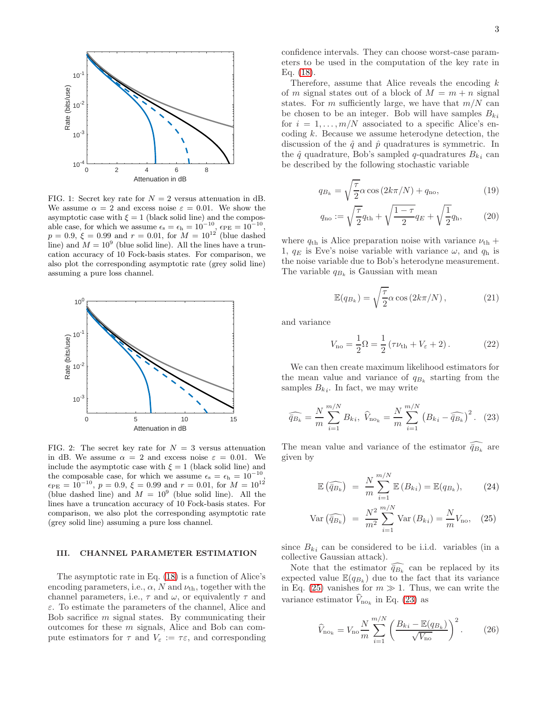

<span id="page-2-1"></span>FIG. 1: Secret key rate for  $N = 2$  versus attenuation in dB. We assume  $\alpha = 2$  and excess noise  $\varepsilon = 0.01$ . We show the asymptotic case with  $\xi = 1$  (black solid line) and the composable case, for which we assume  $\epsilon_s = \epsilon_h = 10^{-10}$ ,  $\epsilon_{PE} = 10^{-10}$ ,  $p = 0.9$ ,  $\xi = 0.99$  and  $r = 0.01$ , for  $M = 10^{12}$  (blue dashed line) and  $M = 10<sup>9</sup>$  (blue solid line). All the lines have a truncation accuracy of 10 Fock-basis states. For comparison, we also plot the corresponding asymptotic rate (grey solid line) assuming a pure loss channel.



<span id="page-2-2"></span>FIG. 2: The secret key rate for  $N = 3$  versus attenuation in dB. We assume  $\alpha = 2$  and excess noise  $\varepsilon = 0.01$ . We include the asymptotic case with  $\xi = 1$  (black solid line) and the composable case, for which we assume  $\epsilon_s = \epsilon_h = 10^{-10}$ ,  $\epsilon_{\text{PE}} = 10^{-10}, p = 0.9, \xi = 0.99 \text{ and } r = 0.01, \text{ for } M = 10^{12}$ (blue dashed line) and  $M = 10^9$  (blue solid line). All the lines have a truncation accuracy of 10 Fock-basis states. For comparison, we also plot the corresponding asymptotic rate (grey solid line) assuming a pure loss channel.

### <span id="page-2-0"></span>III. CHANNEL PARAMETER ESTIMATION

The asymptotic rate in Eq. [\(18\)](#page-1-1) is a function of Alice's encoding parameters, i.e.,  $\alpha$ , N and  $\nu_{\text{th}}$ , together with the channel parameters, i.e.,  $\tau$  and  $\omega$ , or equivalently  $\tau$  and ε. To estimate the parameters of the channel, Alice and Bob sacrifice  $m$  signal states. By communicating their outcomes for these m signals, Alice and Bob can compute estimators for  $\tau$  and  $V_{\varepsilon} := \tau \varepsilon$ , and corresponding

confidence intervals. They can choose worst-case parameters to be used in the computation of the key rate in Eq. [\(18\)](#page-1-1).

Therefore, assume that Alice reveals the encoding  $k$ of m signal states out of a block of  $M = m + n$  signal states. For m sufficiently large, we have that  $m/N$  can be chosen to be an integer. Bob will have samples  $B_{ki}$ for  $i = 1, \ldots, m/N$  associated to a specific Alice's encoding k. Because we assume heterodyne detection, the discussion of the  $\hat{q}$  and  $\hat{p}$  quadratures is symmetric. In the  $\hat{q}$  quadrature, Bob's sampled q-quadratures  $B_{ki}$  can be described by the following stochastic variable

$$
q_{B_k} = \sqrt{\frac{\tau}{2}} \alpha \cos\left(2k\pi/N\right) + q_{\text{no}},\tag{19}
$$

<span id="page-2-5"></span>
$$
q_{\rm no} := \sqrt{\frac{\tau}{2}} q_{\rm th} + \sqrt{\frac{1-\tau}{2}} q_E + \sqrt{\frac{1}{2}} q_{\rm h},\qquad(20)
$$

where  $q_{\text{th}}$  is Alice preparation noise with variance  $\nu_{\text{th}}$  + 1,  $q_E$  is Eve's noise variable with variance  $\omega$ , and  $q_h$  is the noise variable due to Bob's heterodyne measurement. The variable  $q_{B_k}$  is Gaussian with mean

$$
\mathbb{E}(q_{B_k}) = \sqrt{\frac{\tau}{2}} \alpha \cos(2k\pi/N), \qquad (21)
$$

and variance

<span id="page-2-6"></span>
$$
V_{\rm no} = \frac{1}{2}\Omega = \frac{1}{2}(\tau \nu_{\rm th} + V_{\varepsilon} + 2). \tag{22}
$$

We can then create maximum likelihood estimators for the mean value and variance of  $q_{B_k}$  starting from the samples  $B_{ki}$ . In fact, we may write

<span id="page-2-4"></span>
$$
\widehat{\bar{q}_{B_k}} = \frac{N}{m} \sum_{i=1}^{m/N} B_{ki}, \ \widehat{V}_{\text{no}_k} = \frac{N}{m} \sum_{i=1}^{m/N} (B_{ki} - \widehat{\bar{q}_{B_k}})^2. \tag{23}
$$

The mean value and variance of the estimator  $\bar{q}_{B_k}$  are given by

<span id="page-2-3"></span>
$$
\mathbb{E}\left(\widehat{\overline{q}_{B_k}}\right) = \frac{N}{m} \sum_{i=1}^{m/N} \mathbb{E}\left(B_{ki}\right) = \mathbb{E}(q_{B_k}), \tag{24}
$$

$$
\text{Var}\left(\widehat{\bar{q}_{B_k}}\right) = \frac{N^2}{m^2} \sum_{i=1}^{m/N} \text{Var}\left(B_{ki}\right) = \frac{N}{m} V_{\text{no}}, \quad (25)
$$

since  $B_{ki}$  can be considered to be i.i.d. variables (in a collective Gaussian attack).

Note that the estimator  $\bar{q}_{B_k}$  can be replaced by its expected value  $\mathbb{E}(q_{B_k})$  due to the fact that its variance in Eq. [\(25\)](#page-2-3) vanishes for  $m \gg 1$ . Thus, we can write the variance estimator  $V_{\text{no}_k}$  in Eq. [\(23\)](#page-2-4) as

$$
\widehat{V}_{\text{no}_k} = V_{\text{no}} \frac{N}{m} \sum_{i=1}^{m/N} \left( \frac{B_{ki} - \mathbb{E}(q_{B_k})}{\sqrt{V_{\text{no}}}} \right)^2.
$$
 (26)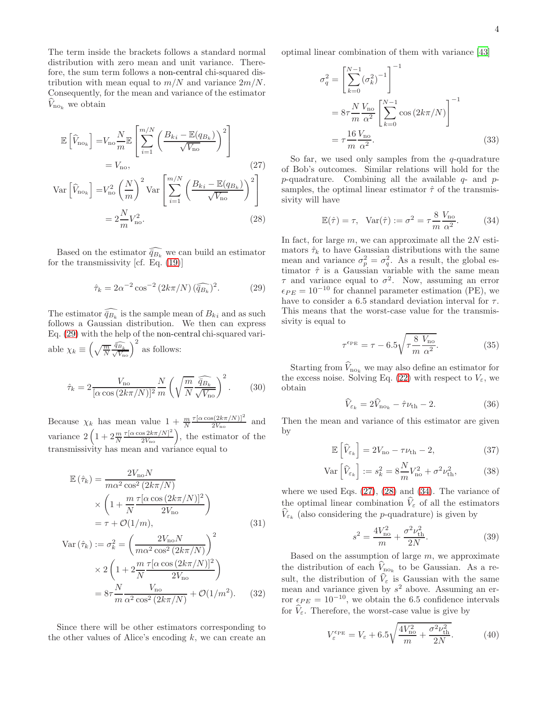The term inside the brackets follows a standard normal distribution with zero mean and unit variance. Therefore, the sum term follows a non-central chi-squared distribution with mean equal to  $m/N$  and variance  $2m/N$ . Consequently, for the mean and variance of the estimator  $V_{\text{no}_k}$  we obtain

$$
\mathbb{E}\left[\widehat{V}_{\text{no}_k}\right] = V_{\text{no}} \frac{N}{m} \mathbb{E}\left[\sum_{i=1}^{m/N} \left(\frac{B_{ki} - \mathbb{E}(q_{B_k})}{\sqrt{V_{\text{no}}}}\right)^2\right]
$$

$$
= V_{\text{no}},\tag{27}
$$

$$
\text{Var}\left[\hat{V}_{\text{no}_k}\right] = V_{\text{no}}^2 \left(\frac{N}{m}\right)^2 \text{Var}\left[\sum_{i=1}^{m/N} \left(\frac{B_{ki} - \mathbb{E}(q_{B_k})}{\sqrt{V_{\text{no}}}}\right)^2\right]
$$

$$
= 2\frac{N}{m}V_{\text{no}}^2. \tag{28}
$$

Based on the estimator  $\widehat{q}_{B_k}$  we can build an estimator for the transmissivity [cf. Eq. [\(19\)](#page-2-5)]

<span id="page-3-0"></span>
$$
\hat{\tau}_k = 2\alpha^{-2}\cos^{-2}\left(2k\pi/N\right)(\widehat{\bar{q}_{B_k}})^2. \tag{29}
$$

The estimator  $\bar{q}_{B_k}$  is the sample mean of  $B_{ki}$  and as such follows a Gaussian distribution. We then can express Eq. [\(29\)](#page-3-0) with the help of the non-central chi-squared variable  $\chi_k \equiv \left(\sqrt{\frac{m}{N}} \frac{\widehat{q}_{B_k}}{\sqrt{V_{\text{no}}}}\right)^2$  as follows:

$$
\hat{\tau}_k = 2 \frac{V_{\text{no}}}{[\alpha \cos \left(2k\pi/N\right)]^2} \frac{N}{m} \left(\sqrt{\frac{m}{N}} \frac{\widehat{\bar{q}_{B_k}}}{\sqrt{V_{\text{no}}}}\right)^2. \tag{30}
$$

Because  $\chi_k$  has mean value  $1 + \frac{m}{N}$  $\tau[\alpha\cos(2k\pi/N)]^2$  $\frac{s(2\kappa\pi/N)}{2V_{\text{no}}}$  and variance  $2\left(1+2\frac{m}{N}\right)$  $\frac{\tau[\alpha\cos 2k\pi/N]^2}{2V_{\text{no}}}$ , the estimator of the transmissivity has mean and variance equal to

$$
\mathbb{E}(\hat{\tau}_k) = \frac{2V_{\text{no}}N}{m\alpha^2 \cos^2(2k\pi/N)}
$$

$$
\times \left(1 + \frac{m\tau[\alpha \cos(2k\pi/N)]^2}{2V_{\text{no}}}\right)
$$

$$
= \tau + \mathcal{O}(1/m), \tag{31}
$$

$$
\text{Var}(\hat{\tau}_k) := \sigma_k^2 = \left(\frac{2V_{\text{no}}N}{m\alpha^2 \cos^2\left(2k\pi/N\right)}\right)^2
$$

$$
\times 2\left(1 + 2\frac{m}{N}\frac{\tau[\alpha \cos\left(2k\pi/N\right)]^2}{2V_{\text{no}}}\right)
$$

$$
= 8\tau \frac{N}{m} \frac{V_{\text{no}}}{\alpha^2 \cos^2\left(2k\pi/N\right)} + \mathcal{O}(1/m^2). \tag{32}
$$

Since there will be other estimators corresponding to the other values of Alice's encoding  $k$ , we can create an optimal linear combination of them with variance [\[43](#page-8-36)]

$$
\sigma_q^2 = \left[ \sum_{k=0}^{N-1} (\sigma_k^2)^{-1} \right]^{-1}
$$
  
=  $8\tau \frac{N}{m} \frac{V_{\text{no}}}{\alpha^2} \left[ \sum_{k=0}^{N-1} \cos(2k\pi/N) \right]^{-1}$   
=  $\tau \frac{16 V_{\text{no}}}{m \alpha^2}$ . (33)

<span id="page-3-1"></span>So far, we used only samples from the  $q$ -quadrature of Bob's outcomes. Similar relations will hold for the  $p$ -quadrature. Combining all the available  $q$ - and  $p$ samples, the optimal linear estimator  $\hat{\tau}$  of the transmissivity will have

<span id="page-3-3"></span>
$$
\mathbb{E}(\hat{\tau}) = \tau, \quad \text{Var}(\hat{\tau}) := \sigma^2 = \tau \frac{8}{m} \frac{V_{\text{no}}}{\alpha^2}.
$$
 (34)

<span id="page-3-2"></span>In fact, for large  $m$ , we can approximate all the  $2N$  estimators  $\hat{\tau}_k$  to have Gaussian distributions with the same mean and variance  $\sigma_p^2 = \sigma_q^2$ . As a result, the global estimator  $\hat{\tau}$  is a Gaussian variable with the same mean  $\tau$  and variance equal to  $\sigma^2$ . Now, assuming an error  $\epsilon_{PE} = 10^{-10}$  for channel parameter estimation (PE), we have to consider a 6.5 standard deviation interval for  $\tau$ . This means that the worst-case value for the transmissivity is equal to

$$
\tau^{\epsilon_{\rm PE}} = \tau - 6.5 \sqrt{\tau \frac{8}{m} \frac{V_{\rm no}}{\alpha^2}}.
$$
\n(35)

Starting from  $\hat{V}_{\text{no}_k}$  we may also define an estimator for the excess noise. Solving Eq. [\(22\)](#page-2-6) with respect to  $V_{\varepsilon}$ , we obtain

$$
\widehat{V}_{\varepsilon_k} = 2\widehat{V}_{\text{no}_k} - \widehat{\tau}\nu_{\text{th}} - 2. \tag{36}
$$

Then the mean and variance of this estimator are given by

$$
\mathbb{E}\left[\hat{V}_{\varepsilon_k}\right] = 2V_{\text{no}} - \tau \nu_{\text{th}} - 2,\tag{37}
$$

$$
\text{Var}\left[\hat{V}_{\varepsilon_k}\right] := s_k^2 = 8\frac{N}{m}V_{\text{no}}^2 + \sigma^2 \nu_{\text{th}}^2,\tag{38}
$$

where we used Eqs.  $(27)$ ,  $(28)$  and  $(34)$ . The variance of the optimal linear combination  $\hat{V}_{\varepsilon}$  of all the estimators  $V_{\varepsilon_k}$  (also considering the *p*-quadrature) is given by

$$
s^2 = \frac{4V_{\text{no}}^2}{m} + \frac{\sigma^2 \nu_{\text{th}}^2}{2N}.
$$
 (39)

Based on the assumption of large  $m$ , we approximate the distribution of each  $V_{\text{no}_k}$  to be Gaussian. As a result, the distribution of  $\hat{V}_{\varepsilon}$  is Gaussian with the same mean and variance given by  $s^2$  above. Assuming an error  $\epsilon_{PE} = 10^{-10}$ , we obtain the 6.5 confidence intervals for  $\hat{V}_{\varepsilon}$ . Therefore, the worst-case value is give by

$$
V_{\varepsilon}^{\epsilon_{\rm PE}} = V_{\varepsilon} + 6.5 \sqrt{\frac{4V_{\rm no}^2}{m} + \frac{\sigma^2 \nu_{\rm th}^2}{2N}}.
$$
 (40)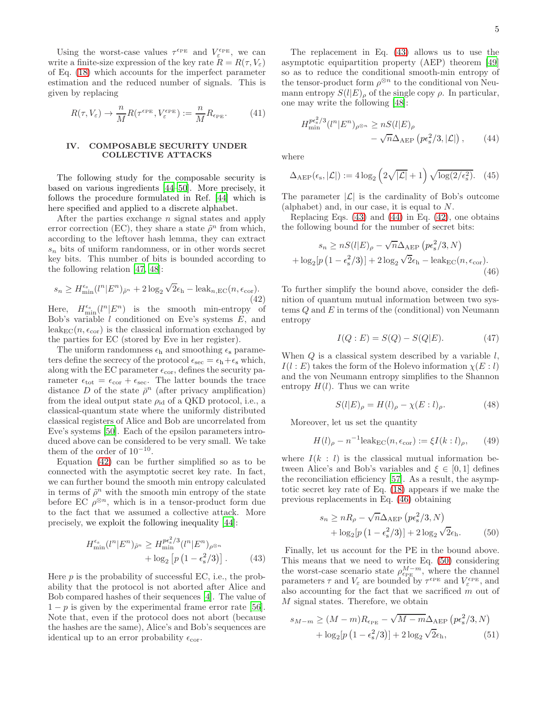Using the worst-case values  $\tau^{\epsilon_{\text{PE}}}$  and  $V_{\varepsilon}^{\epsilon_{\text{PE}}}$ , we can write a finite-size expression of the key rate  $R = R(\tau, V_{\varepsilon})$ of Eq. [\(18\)](#page-1-1) which accounts for the imperfect parameter estimation and the reduced number of signals. This is given by replacing

<span id="page-4-6"></span>
$$
R(\tau, V_{\varepsilon}) \to \frac{n}{M} R(\tau^{\varepsilon_{\rm PE}}, V_{\varepsilon}^{\varepsilon_{\rm PE}}) := \frac{n}{M} R_{\varepsilon_{\rm PE}}.
$$
 (41)

#### <span id="page-4-0"></span>IV. COMPOSABLE SECURITY UNDER COLLECTIVE ATTACKS

The following study for the composable security is based on various ingredients [\[44](#page-8-37)[–50\]](#page-8-35). More precisely, it follows the procedure formulated in Ref. [\[44\]](#page-8-37) which is here specified and applied to a discrete alphabet.

After the parties exchange n signal states and apply error correction (EC), they share a state  $\tilde{\rho}^n$  from which, according to the leftover hash lemma, they can extract  $s_n$  bits of uniform randomness, or in other words secret key bits. This number of bits is bounded according to the following relation [\[47,](#page-8-42) [48\]](#page-8-43):

<span id="page-4-1"></span>
$$
s_n \ge H_{\min}^{\epsilon_s} (l^n | E^n)_{\tilde{\rho}^n} + 2 \log_2 \sqrt{2} \epsilon_h - \text{leak}_{n,EC}(n, \epsilon_{\text{cor}}). \tag{42}
$$

Here,  $H_{\min}^{\epsilon_s}(l^n | E^n)$  is the smooth min-entropy of Bob's variable  $l$  conditioned on Eve's systems  $E$ , and  $\text{leak}_{\text{EC}}(n, \epsilon_{\text{cor}})$  is the classical information exchanged by the parties for EC (stored by Eve in her register).

The uniform randomness  $\epsilon_h$  and smoothing  $\epsilon_s$  parameters define the secrecy of the protocol  $\epsilon_{\text{sec}} = \epsilon_{\text{h}} + \epsilon_{\text{s}}$  which, along with the EC parameter  $\epsilon_{\text{cor}}$ , defines the security parameter  $\epsilon_{\text{tot}} = \epsilon_{\text{cor}} + \epsilon_{\text{sec}}$ . The latter bounds the trace distance D of the state  $\bar{\rho}^n$  (after privacy amplification) from the ideal output state  $\rho_{id}$  of a QKD protocol, i.e., a classical-quantum state where the uniformly distributed classical registers of Alice and Bob are uncorrelated from Eve's systems [\[50](#page-8-35)]. Each of the epsilon parameters introduced above can be considered to be very small. We take them of the order of  $10^{-10}$ .

Equation [\(42\)](#page-4-1) can be further simplified so as to be connected with the asymptotic secret key rate. In fact, we can further bound the smooth min entropy calculated in terms of  $\tilde{\rho}^n$  with the smooth min entropy of the state before EC  $\rho^{\otimes n}$ , which is in a tensor-product form due to the fact that we assumed a collective attack. More precisely, we exploit the following inequality [\[44\]](#page-8-37):

$$
H_{\min}^{\epsilon_{\rm s}}(l^{n}|E^{n})_{\tilde{\rho}^{n}} \geq H_{\min}^{p\epsilon_{\rm s}^{2}/3}(l^{n}|E^{n})_{\rho^{\otimes n}} + \log_{2}[p(1-\epsilon_{\rm s}^{2}/3)]. \tag{43}
$$

Here  $p$  is the probability of successful EC, i.e., the probability that the protocol is not aborted after Alice and Bob compared hashes of their sequences [\[4](#page-8-1)]. The value of  $1-p$  is given by the experimental frame error rate [\[56\]](#page-8-44). Note that, even if the protocol does not abort (because the hashes are the same), Alice's and Bob's sequences are identical up to an error probability  $\epsilon_{\rm cor}$ .

The replacement in Eq. [\(43\)](#page-4-2) allows us to use the asymptotic equipartition property (AEP) theorem [\[49](#page-8-45)] so as to reduce the conditional smooth-min entropy of the tensor-product form  $\rho^{\otimes n}$  to the conditional von Neumann entropy  $S(l|E)_{\rho}$  of the single copy  $\rho$ . In particular, one may write the following [\[48](#page-8-43)]:

<span id="page-4-3"></span>
$$
H_{\min}^{pe_s^2/3}(l^n|E^n)_{\rho^{\otimes n}} \ge nS(l|E)_{\rho}
$$
  
-  $\sqrt{n}\Delta_{\text{AEP}}\left(p\epsilon_s^2/3, |\mathcal{L}|\right),$  (44)

where

$$
\Delta_{\text{AEP}}(\epsilon_{\text{s}}, |\mathcal{L}|) := 4\log_2\left(2\sqrt{|\mathcal{L}|} + 1\right)\sqrt{\log(2/\epsilon_{\text{s}}^2)}.\tag{45}
$$

The parameter  $|\mathcal{L}|$  is the cardinality of Bob's outcome (alphabet) and, in our case, it is equal to N.

Replacing Eqs.  $(43)$  and  $(44)$  in Eq.  $(42)$ , one obtains the following bound for the number of secret bits:

$$
s_n \ge nS(l|E)_{\rho} - \sqrt{n}\Delta_{\text{AEP}}\left(p\epsilon_s^2/3, N\right)
$$

$$
+ \log_2\left[p\left(1 - \epsilon_s^2/3\right)\right] + 2\log_2\sqrt{2}\epsilon_h - \text{leak}_{\text{EC}}(n, \epsilon_{\text{cor}}).
$$
(46)

To further simplify the bound above, consider the definition of quantum mutual information between two systems Q and E in terms of the (conditional) von Neumann entropy

<span id="page-4-4"></span>
$$
I(Q: E) = S(Q) - S(Q|E).
$$
 (47)

When  $Q$  is a classical system described by a variable  $l$ ,  $I(l : E)$  takes the form of the Holevo information  $\chi(E : l)$ and the von Neumann entropy simplifies to the Shannon entropy  $H(l)$ . Thus we can write

$$
S(l|E)_{\rho} = H(l)_{\rho} - \chi(E:l)_{\rho}.
$$
 (48)

Moreover, let us set the quantity

<span id="page-4-8"></span>
$$
H(l)_{\rho} - n^{-1} \text{leak}_{\text{EC}}(n, \epsilon_{\text{cor}}) := \xi I(k:l)_{\rho}, \qquad (49)
$$

where  $I(k : l)$  is the classical mutual information between Alice's and Bob's variables and  $\xi \in [0,1]$  defines the reconciliation efficiency [\[57\]](#page-8-46). As a result, the asymptotic secret key rate of Eq. [\(18\)](#page-1-1) appears if we make the previous replacements in Eq. [\(46\)](#page-4-4) obtaining

<span id="page-4-5"></span>
$$
s_n \ge nR_\rho - \sqrt{n}\Delta_{\text{AEP}}\left(p\epsilon_s^2/3, N\right) + \log_2[p\left(1 - \epsilon_s^2/3\right)] + 2\log_2\sqrt{2}\epsilon_h.
$$
 (50)

<span id="page-4-2"></span>Finally, let us account for the PE in the bound above. This means that we need to write Eq. [\(50\)](#page-4-5) considering the worst-case scenario state  $\rho_{\epsilon_{PE}}^{M-m}$ , where the channel parameters  $\tau$  and  $V_{\varepsilon}$  are bounded by  $\tau^{\epsilon_{\text{PE}}}$  and  $V_{\varepsilon}^{\epsilon_{\text{PE}}}$ , and also accounting for the fact that we sacrificed m out of M signal states. Therefore, we obtain

<span id="page-4-7"></span>
$$
s_{M-m} \ge (M-m)R_{\epsilon_{\rm PE}} - \sqrt{M-m}\Delta_{\rm AEP} \left(p\epsilon_s^2/3, N\right) + \log_2\left[p\left(1 - \epsilon_s^2/3\right)\right] + 2\log_2\sqrt{2}\epsilon_{\rm h},\tag{51}
$$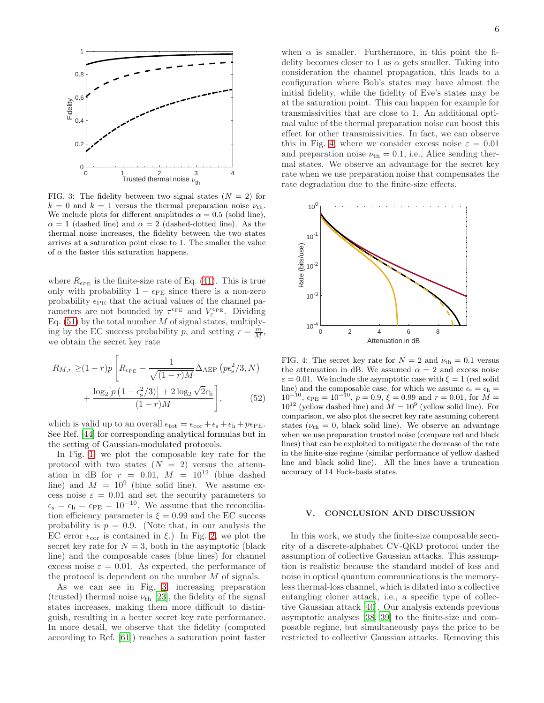

<span id="page-5-1"></span>FIG. 3: The fidelity between two signal states  $(N = 2)$  for  $k = 0$  and  $k = 1$  versus the thermal preparation noise  $\nu_{\text{th}}$ . We include plots for different amplitudes  $\alpha = 0.5$  (solid line),  $\alpha = 1$  (dashed line) and  $\alpha = 2$  (dashed-dotted line). As the thermal noise increases, the fidelity between the two states arrives at a saturation point close to 1. The smaller the value of  $\alpha$  the faster this saturation happens.

where  $R_{\epsilon_{\text{PE}}}$  is the finite-size rate of Eq. [\(41\)](#page-4-6). This is true only with probability  $1 - \epsilon_{PE}$  since there is a non-zero probability  $\epsilon_{PE}$  that the actual values of the channel parameters are not bounded by  $\tau^{\epsilon_{\text{PE}}}$  and  $V_{\varepsilon}^{\epsilon_{\text{PE}}}$ . Dividing Eq.  $(51)$  by the total number  $M$  of signal states, multiplying by the EC success probability p, and setting  $r = \frac{m}{M}$ , we obtain the secret key rate

$$
R_{M,r} \geq (1-r)p \left[ R_{\epsilon_{\rm PE}} - \frac{1}{\sqrt{(1-r)M}} \Delta_{\rm AEP} \left( p \epsilon_{\rm s}^2 / 3, N \right) + \frac{\log_2\left[ p \left( 1 - \epsilon_{\rm s}^2 / 3 \right) \right] + 2 \log_2 \sqrt{2} \epsilon_{\rm h}}{(1-r)M} \right],
$$
(52)

which is valid up to an overall  $\epsilon_{\text{tot}} = \epsilon_{\text{cor}} + \epsilon_{\text{s}} + \epsilon_{\text{h}} + p\epsilon_{\text{PE}}$ . See Ref. [\[44](#page-8-37)] for corresponding analytical formulas but in the setting of Gaussian-modulated protocols.

In Fig. [1,](#page-2-1) we plot the composable key rate for the protocol with two states  $(N = 2)$  versus the attenuation in dB for  $r = 0.01$ ,  $M = 10^{12}$  (blue dashed line) and  $M = 10^9$  (blue solid line). We assume excess noise  $\varepsilon = 0.01$  and set the security parameters to  $\epsilon_{\rm s} = \epsilon_{\rm h} = \epsilon_{\rm PE} = 10^{-10}$ . We assume that the reconciliation efficiency parameter is  $\xi = 0.99$  and the EC success probability is  $p = 0.9$ . (Note that, in our analysis the EC error  $\epsilon_{\rm cor}$  is contained in ξ.) In Fig. [2,](#page-2-2) we plot the secret key rate for  $N = 3$ , both in the asymptotic (black line) and the composable cases (blue lines) for channel excess noise  $\varepsilon = 0.01$ . As expected, the performance of the protocol is dependent on the number  $M$  of signals.

As we can see in Fig. [3,](#page-5-1) increasing preparation (trusted) thermal noise  $\nu_{\text{th}}$  [\[23\]](#page-8-47), the fidelity of the signal states increases, making them more difficult to distinguish, resulting in a better secret key rate performance. In more detail, we observe that the fidelity (computed according to Ref. [\[61](#page-9-0)]) reaches a saturation point faster

when  $\alpha$  is smaller. Furthermore, in this point the fidelity becomes closer to 1 as  $\alpha$  gets smaller. Taking into consideration the channel propagation, this leads to a configuration where Bob's states may have almost the initial fidelity, while the fidelity of Eve's states may be at the saturation point. This can happen for example for transmissivities that are close to 1. An additional optimal value of the thermal preparation noise can boost this effect for other transmissivities. In fact, we can observe this in Fig. [4,](#page-5-2) where we consider excess noise  $\varepsilon = 0.01$ and preparation noise  $\nu_{\text{th}} = 0.1$ , i.e., Alice sending thermal states. We observe an advantage for the secret key rate when we use preparation noise that compensates the rate degradation due to the finite-size effects.



<span id="page-5-2"></span>FIG. 4: The secret key rate for  $N = 2$  and  $\nu_{\text{th}} = 0.1$  versus the attenuation in dB. We assumed  $\alpha = 2$  and excess noise  $\varepsilon = 0.01$ . We include the asymptotic case with  $\xi = 1$  (red solid line) and the composable case, for which we assume  $\epsilon_s = \epsilon_h$  =  $10^{-10}$ ,  $\epsilon_{\text{PE}} = 10^{-10}$ ,  $p = 0.9$ ,  $\xi = 0.99$  and  $r = 0.01$ , for  $M =$  $10^{12}$  (yellow dashed line) and  $M = 10^9$  (yellow solid line). For comparison, we also plot the secret key rate assuming coherent states ( $\nu_{\text{th}} = 0$ , black solid line). We observe an advantage when we use preparation trusted noise (compare red and black lines) that can be exploited to mitigate the decrease of the rate in the finite-size regime (similar performance of yellow dashed line and black solid line). All the lines have a truncation accuracy of 14 Fock-basis states.

## <span id="page-5-0"></span>V. CONCLUSION AND DISCUSSION

In this work, we study the finite-size composable security of a discrete-alphabet CV-QKD protocol under the assumption of collective Gaussian attacks. This assumption is realistic because the standard model of loss and noise in optical quantum communications is the memoryless thermal-loss channel, which is dilated into a collective entangling cloner attack, i.e., a specific type of collective Gaussian attack [\[40\]](#page-8-32). Our analysis extends previous asymptotic analyses [\[38,](#page-8-31) [39](#page-8-25)] to the finite-size and composable regime, but simultaneously pays the price to be restricted to collective Gaussian attacks. Removing this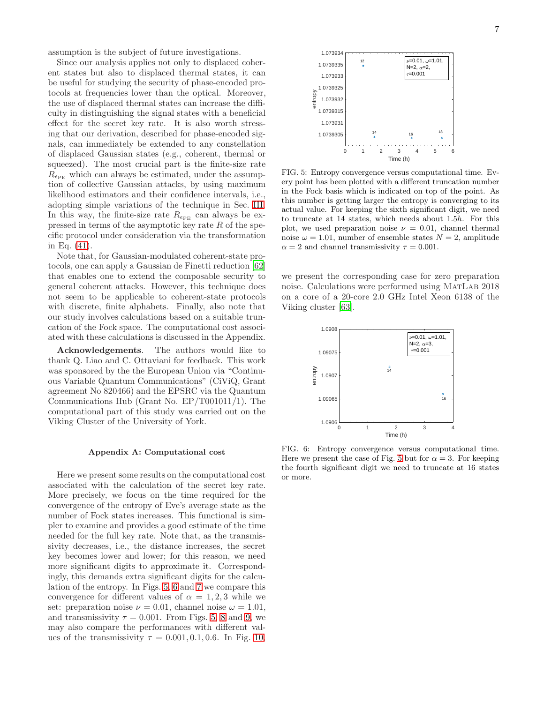assumption is the subject of future investigations.

Since our analysis applies not only to displaced coherent states but also to displaced thermal states, it can be useful for studying the security of phase-encoded protocols at frequencies lower than the optical. Moreover, the use of displaced thermal states can increase the difficulty in distinguishing the signal states with a beneficial effect for the secret key rate. It is also worth stressing that our derivation, described for phase-encoded signals, can immediately be extended to any constellation of displaced Gaussian states (e.g., coherent, thermal or squeezed). The most crucial part is the finite-size rate  $R_{\epsilon_{\text{PE}}}$  which can always be estimated, under the assumption of collective Gaussian attacks, by using maximum likelihood estimators and their confidence intervals, i.e., adopting simple variations of the technique in Sec. [III.](#page-2-0) In this way, the finite-size rate  $R_{\epsilon_{PE}}$  can always be expressed in terms of the asymptotic key rate  $R$  of the specific protocol under consideration via the transformation in Eq. [\(41\)](#page-4-6).

Note that, for Gaussian-modulated coherent-state protocols, one can apply a Gaussian de Finetti reduction [\[62](#page-9-1)] that enables one to extend the composable security to general coherent attacks. However, this technique does not seem to be applicable to coherent-state protocols with discrete, finite alphabets. Finally, also note that our study involves calculations based on a suitable truncation of the Fock space. The computational cost associated with these calculations is discussed in the Appendix.

Acknowledgements. The authors would like to thank Q. Liao and C. Ottaviani for feedback. This work was sponsored by the the European Union via "Continuous Variable Quantum Communications" (CiViQ, Grant agreement No 820466) and the EPSRC via the Quantum Communications Hub (Grant No. EP/T001011/1). The computational part of this study was carried out on the Viking Cluster of the University of York.

#### Appendix A: Computational cost

Here we present some results on the computational cost associated with the calculation of the secret key rate. More precisely, we focus on the time required for the convergence of the entropy of Eve's average state as the number of Fock states increases. This functional is simpler to examine and provides a good estimate of the time needed for the full key rate. Note that, as the transmissivity decreases, i.e., the distance increases, the secret key becomes lower and lower; for this reason, we need more significant digits to approximate it. Correspondingly, this demands extra significant digits for the calculation of the entropy. In Figs. [5,](#page-6-0) [6](#page-6-1) and [7](#page-7-0) we compare this convergence for different values of  $\alpha = 1, 2, 3$  while we set: preparation noise  $\nu = 0.01$ , channel noise  $\omega = 1.01$ , and transmissivity  $\tau = 0.001$ . From Figs. [5,](#page-6-0) [8](#page-7-1) and [9,](#page-7-2) we may also compare the performances with different values of the transmissivity  $\tau = 0.001, 0.1, 0.6$ . In Fig. [10,](#page-7-3)



<span id="page-6-0"></span>FIG. 5: Entropy convergence versus computational time. Every point has been plotted with a different truncation number in the Fock basis which is indicated on top of the point. As this number is getting larger the entropy is converging to its actual value. For keeping the sixth significant digit, we need to truncate at 14 states, which needs about 1.5h. For this plot, we used preparation noise  $\nu = 0.01$ , channel thermal noise  $\omega = 1.01$ , number of ensemble states  $N = 2$ , amplitude  $\alpha = 2$  and channel transmissivity  $\tau = 0.001$ .

we present the corresponding case for zero preparation noise. Calculations were performed using MatLab 2018 on a core of a 20-core 2.0 GHz Intel Xeon 6138 of the Viking cluster [\[63](#page-9-2)].



<span id="page-6-1"></span>FIG. 6: Entropy convergence versus computational time. Here we present the case of Fig. [5](#page-6-0) but for  $\alpha = 3$ . For keeping the fourth significant digit we need to truncate at 16 states or more.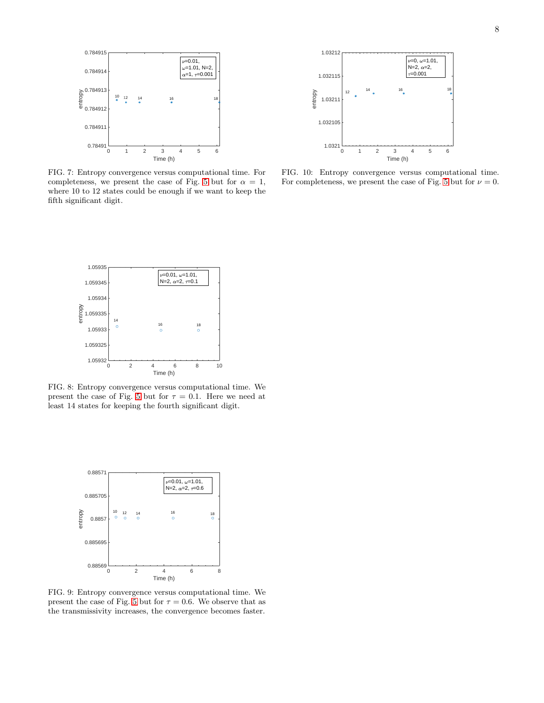



<span id="page-7-0"></span>FIG. 7: Entropy convergence versus computational time. For completeness, we present the case of Fig. [5](#page-6-0) but for  $\alpha = 1$ , where 10 to 12 states could be enough if we want to keep the fifth significant digit.

<span id="page-7-3"></span>FIG. 10: Entropy convergence versus computational time. For completeness, we present the case of Fig. [5](#page-6-0) but for  $\nu = 0$ .



<span id="page-7-1"></span>FIG. 8: Entropy convergence versus computational time. We present the case of Fig. [5](#page-6-0) but for  $\tau = 0.1$ . Here we need at least 14 states for keeping the fourth significant digit.



<span id="page-7-2"></span>FIG. 9: Entropy convergence versus computational time. We present the case of Fig. [5](#page-6-0) but for  $\tau = 0.6$ . We observe that as the transmissivity increases, the convergence becomes faster.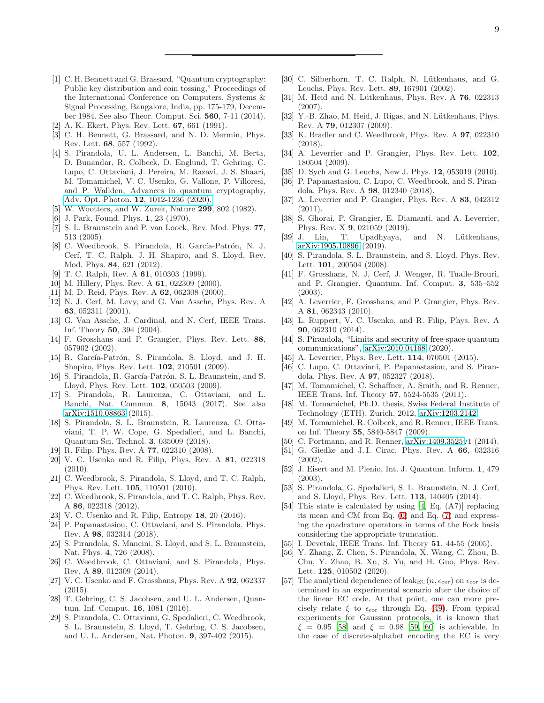- <span id="page-8-0"></span>[1] C. H. Bennett and G. Brassard, "Quantum cryptography: Public key distribution and coin tossing," Proceedings of the International Conference on Computers, Systems & Signal Processing, Bangalore, India, pp. 175-179, December 1984. See also Theor. Comput. Sci. 560, 7-11 (2014).
- [2] A. K. Ekert, Phys. Rev. Lett. 67, 661 (1991).
- [3] C. H. Bennett, G. Brassard, and N. D. Mermin, Phys. Rev. Lett. 68, 557 (1992).
- <span id="page-8-1"></span>[4] S. Pirandola, U. L. Andersen, L. Banchi, M. Berta, D. Bunandar, R. Colbeck, D. Englund, T. Gehring, C. Lupo, C. Ottaviani, J. Pereira, M. Razavi, J. S. Shaari, M. Tomamichel, V. C. Usenko, G. Vallone, P. Villoresi, and P. Wallden, Advances in quantum cryptography, Adv. Opt. Photon. 12[, 1012-1236 \(2020\).](https://doi.org/10.1364/AOP.361502)
- <span id="page-8-2"></span>[5] W. Wootters, and W. Zurek, Nature 299, 802 (1982).
- <span id="page-8-3"></span>[6] J. Park, Found. Phys. 1, 23 (1970).
- <span id="page-8-4"></span>[7] S. L. Braunstein and P. van Loock, Rev. Mod. Phys. 77, 513 (2005).
- <span id="page-8-5"></span>[8] C. Weedbrook, S. Pirandola, R. García-Patrón, N. J. Cerf, T. C. Ralph, J. H. Shapiro, and S. Lloyd, Rev. Mod. Phys. 84, 621 (2012).
- <span id="page-8-6"></span>[9] T. C. Ralph, Rev. A 61, 010303 (1999).
- <span id="page-8-7"></span>[10] M. Hillery, Phys. Rev. A **61**, 022309 (2000).
- [11] M. D. Reid, Phys. Rev. A **62**, 062308 (2000).
- [12] N. J. Cerf, M. Levy, and G. Van Assche, Phys. Rev. A 63, 052311 (2001).
- <span id="page-8-8"></span>[13] G. Van Assche, J. Cardinal, and N. Cerf, IEEE Trans. Inf. Theory 50, 394 (2004).
- <span id="page-8-9"></span>[14] F. Grosshans and P. Grangier, Phys. Rev. Lett. 88, 057902 (2002).
- <span id="page-8-10"></span>[15] R. García-Patrón, S. Pirandola, S. Lloyd, and J. H. Shapiro, Phys. Rev. Lett. 102, 210501 (2009).
- <span id="page-8-11"></span>[16] S. Pirandola, R. García-Patrón, S. L. Braunstein, and S. Lloyd, Phys. Rev. Lett. 102, 050503 (2009).
- <span id="page-8-12"></span>[17] S. Pirandola, R. Laurenza, C. Ottaviani, and L. Banchi, Nat. Commun. 8, 15043 (2017). See also [arXiv:1510.08863](http://arxiv.org/abs/1510.08863) (2015).
- <span id="page-8-13"></span>[18] S. Pirandola, S. L. Braunstein, R. Laurenza, C. Ottaviani, T. P. W. Cope, G. Spedalieri, and L. Banchi, Quantum Sci. Technol. 3, 035009 (2018).
- <span id="page-8-14"></span>[19] R. Filip, Phys. Rev. A **77**, 022310 (2008).
- [20] V. C. Usenko and R. Filip, Phys. Rev. A 81, 022318  $(2010).$
- <span id="page-8-16"></span>[21] C. Weedbrook, S. Pirandola, S. Lloyd, and T. C. Ralph, Phys. Rev. Lett. 105, 110501 (2010).
- <span id="page-8-17"></span>[22] C. Weedbrook, S. Pirandola, and T. C. Ralph, Phys. Rev. A 86, 022318 (2012).
- <span id="page-8-47"></span>[23] V. C. Usenko and R. Filip, Entropy 18, 20 (2016).
- <span id="page-8-15"></span>[24] P. Papanastasiou, C. Ottaviani, and S. Pirandola, Phys. Rev. A 98, 032314 (2018).
- <span id="page-8-18"></span>[25] S. Pirandola, S. Mancini, S. Lloyd, and S. L. Braunstein, Nat. Phys. 4, 726 (2008).
- <span id="page-8-19"></span>[26] C. Weedbrook, C. Ottaviani, and S. Pirandola, Phys. Rev. A 89, 012309 (2014).
- <span id="page-8-20"></span>[27] V. C. Usenko and F. Grosshans, Phys. Rev. A 92, 062337 (2015).
- <span id="page-8-21"></span>[28] T. Gehring, C. S. Jacobsen, and U. L. Andersen, Quantum. Inf. Comput. 16, 1081 (2016).
- <span id="page-8-22"></span>[29] S. Pirandola, C. Ottaviani, G. Spedalieri, C. Weedbrook, S. L. Braunstein, S. Lloyd, T. Gehring, C. S. Jacobsen, and U. L. Andersen, Nat. Photon. 9, 397-402 (2015).
- <span id="page-8-23"></span>[30] C. Silberhorn, T. C. Ralph, N. Lütkenhaus, and G. Leuchs, Phys. Rev. Lett. 89, 167901 (2002).
- <span id="page-8-24"></span>[31] M. Heid and N. Lütkenhaus, Phys. Rev. A  $76$ , 022313 (2007).
- [32] Y.-B. Zhao, M. Heid, J. Rigas, and N. Lütkenhaus, Phys. Rev. A 79, 012307 (2009).
- <span id="page-8-26"></span>[33] K. Bradler and C. Weedbrook, Phys. Rev. A 97, 022310 (2018).
- <span id="page-8-27"></span>[34] A. Leverrier and P. Grangier, Phys. Rev. Lett. **102**, 180504 (2009).
- <span id="page-8-28"></span>[35] D. Sych and G. Leuchs, New J. Phys. **12**, 053019 (2010).
- <span id="page-8-29"></span>[36] P. Papanastasiou, C. Lupo, C. Weedbrook, and S. Pirandola, Phys. Rev. A 98, 012340 (2018).
- <span id="page-8-30"></span>[37] A. Leverrier and P. Grangier, Phys. Rev. A 83, 042312  $(2011)$ .
- <span id="page-8-31"></span>[38] S. Ghorai, P. Grangier, E. Diamanti, and A. Leverrier, Phys. Rev. X 9, 021059 (2019).
- <span id="page-8-25"></span>[39] J. Lin, T. Upadhyaya, and N. Lütkenhaus, [arXiv:1905.10896](http://arxiv.org/abs/1905.10896) (2019).
- <span id="page-8-32"></span>[40] S. Pirandola, S. L. Braunstein, and S. Lloyd, Phys. Rev. Lett. 101, 200504 (2008).
- <span id="page-8-33"></span>[41] F. Grosshans, N. J. Cerf, J. Wenger, R. Tualle-Brouri, and P. Grangier, Quantum. Inf. Comput. 3, 535–552 (2003).
- <span id="page-8-34"></span>[42] A. Leverrier, F. Grosshans, and P. Grangier, Phys. Rev. A 81, 062343 (2010).
- <span id="page-8-36"></span>[43] L. Ruppert, V. C. Usenko, and R. Filip, Phys. Rev. A 90, 062310 (2014).
- <span id="page-8-37"></span>[44] S. Pirandola, "Limits and security of free-space quantum communications", [arXiv:2010.04168](http://arxiv.org/abs/2010.04168) (2020).
- [45] A. Leverrier, Phys. Rev. Lett. 114, 070501 (2015).
- [46] C. Lupo, C. Ottaviani, P. Papanastasiou, and S. Pirandola, Phys. Rev. A 97, 052327 (2018).
- <span id="page-8-42"></span>[47] M. Tomamichel, C. Schaffner, A. Smith, and R. Renner, IEEE Trans. Inf. Theory 57, 5524-5535 (2011).
- <span id="page-8-43"></span>[48] M. Tomamichel, Ph.D. thesis, Swiss Federal Institute of Technology (ETH), Zurich, 2012, [arXiv:1203.2142.](http://arxiv.org/abs/1203.2142)
- <span id="page-8-45"></span>[49] M. Tomamichel, R. Colbeck, and R. Renner, IEEE Trans. on Inf. Theory 55, 5840-5847 (2009).
- <span id="page-8-35"></span>[50] C. Portmann, and R. Renner, [arXiv:1409.3525v](http://arxiv.org/abs/1409.3525)1 (2014).
- <span id="page-8-38"></span>[51] G. Giedke and J. I. Cirac, Phys. Rev. A 66, 032316 (2002).
- [52] J. Eisert and M. Plenio, Int. J. Quantum. Inform. 1, 479 (2003).
- <span id="page-8-39"></span>[53] S. Pirandola, G. Spedalieri, S. L. Braunstein, N. J. Cerf, and S. Lloyd, Phys. Rev. Lett. 113, 140405 (2014).
- <span id="page-8-40"></span>[54] This state is calculated by using [\[4,](#page-8-1) Eq. (A7)] replacing its mean and CM from Eq. [\(6\)](#page-1-2) and Eq. [\(7\)](#page-1-3) and expressing the quadrature operators in terms of the Fock basis considering the appropriate truncation.
- <span id="page-8-41"></span>[55] I. Devetak, IEEE Trans. Inf. Theory **51**, 44-55 (2005).
- <span id="page-8-44"></span>[56] Y. Zhang, Z. Chen, S. Pirandola, X. Wang, C. Zhou, B. Chu, Y. Zhao, B. Xu, S. Yu, and H. Guo, Phys. Rev. Lett. **125**, 010502 (2020).
- <span id="page-8-46"></span>[57] The analytical dependence of leak<sub>EC</sub>( $n, \epsilon_{\text{cor}}$ ) on  $\epsilon_{\text{cor}}$  is determined in an experimental scenario after the choice of the linear EC code. At that point, one can more precisely relate  $\xi$  to  $\epsilon_{\rm cor}$  through Eq. [\(49\)](#page-4-8). From typical experiments for Gaussian protocols, it is known that  $\xi = 0.95$  [\[58\]](#page-9-3) and  $\xi = 0.98$  [\[59](#page-9-4), [60](#page-9-5)] is achievable. In the case of discrete-alphabet encoding the EC is very